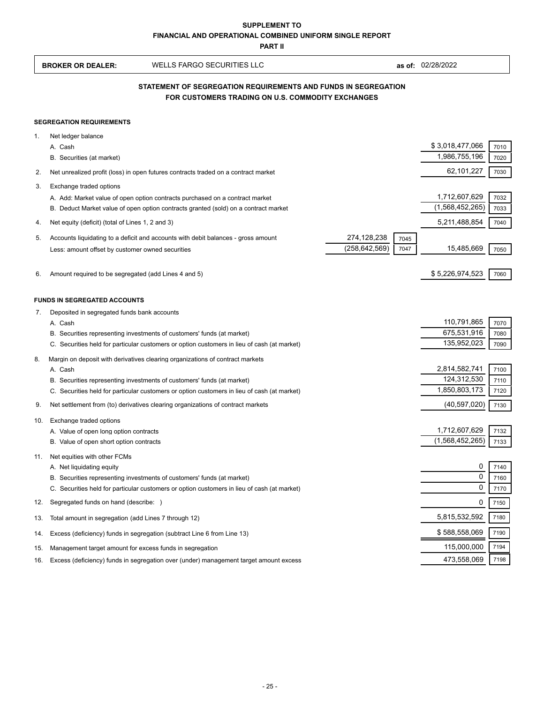**PART II**

 $\mathsf{r}$ 

|     | <b>BROKER OR DEALER:</b>                                                                                            | <b>WELLS FARGO SECURITIES LLC</b>                                                                                                                                                                                                                      |                                |              | as of: 02/28/2022                             |                      |  |  |
|-----|---------------------------------------------------------------------------------------------------------------------|--------------------------------------------------------------------------------------------------------------------------------------------------------------------------------------------------------------------------------------------------------|--------------------------------|--------------|-----------------------------------------------|----------------------|--|--|
|     | STATEMENT OF SEGREGATION REQUIREMENTS AND FUNDS IN SEGREGATION<br>FOR CUSTOMERS TRADING ON U.S. COMMODITY EXCHANGES |                                                                                                                                                                                                                                                        |                                |              |                                               |                      |  |  |
|     | <b>SEGREGATION REQUIREMENTS</b>                                                                                     |                                                                                                                                                                                                                                                        |                                |              |                                               |                      |  |  |
| 1.  | Net ledger balance<br>A. Cash<br>B. Securities (at market)                                                          |                                                                                                                                                                                                                                                        |                                |              | \$3,018,477,066<br>1,986,755,196              | 7010<br>7020         |  |  |
| 2.  |                                                                                                                     | Net unrealized profit (loss) in open futures contracts traded on a contract market                                                                                                                                                                     |                                |              | 62,101,227                                    | 7030                 |  |  |
| 3.  | Exchange traded options                                                                                             |                                                                                                                                                                                                                                                        |                                |              |                                               |                      |  |  |
|     |                                                                                                                     | A. Add: Market value of open option contracts purchased on a contract market<br>B. Deduct Market value of open option contracts granted (sold) on a contract market                                                                                    |                                |              | 1,712,607,629<br>(1,568,452,265)              | 7032<br>7033         |  |  |
| 4.  | Net equity (deficit) (total of Lines 1, 2 and 3)                                                                    |                                                                                                                                                                                                                                                        |                                |              | 5,211,488,854                                 | 7040                 |  |  |
| 5.  | Less: amount offset by customer owned securities                                                                    | Accounts liquidating to a deficit and accounts with debit balances - gross amount                                                                                                                                                                      | 274,128,238<br>(258, 642, 569) | 7045<br>7047 | 15,485,669                                    | 7050                 |  |  |
| 6.  | Amount required to be segregated (add Lines 4 and 5)                                                                |                                                                                                                                                                                                                                                        |                                |              | \$5,226,974,523                               | 7060                 |  |  |
| 7.  | <b>FUNDS IN SEGREGATED ACCOUNTS</b><br>Deposited in segregated funds bank accounts                                  |                                                                                                                                                                                                                                                        |                                |              |                                               |                      |  |  |
|     | A. Cash                                                                                                             |                                                                                                                                                                                                                                                        |                                |              | 110,791,865                                   | 7070                 |  |  |
|     |                                                                                                                     | B. Securities representing investments of customers' funds (at market)                                                                                                                                                                                 |                                |              | 675,531,916                                   | 7080                 |  |  |
|     |                                                                                                                     | C. Securities held for particular customers or option customers in lieu of cash (at market)                                                                                                                                                            |                                |              | 135,952,023                                   | 7090                 |  |  |
| 8.  | A. Cash                                                                                                             | Margin on deposit with derivatives clearing organizations of contract markets<br>B. Securities representing investments of customers' funds (at market)<br>C. Securities held for particular customers or option customers in lieu of cash (at market) |                                |              | 2,814,582,741<br>124,312,530<br>1,850,803,173 | 7100<br>7110<br>7120 |  |  |
| 9.  |                                                                                                                     | Net settlement from (to) derivatives clearing organizations of contract markets                                                                                                                                                                        |                                |              | (40, 597, 020)                                | 7130                 |  |  |
| 10. | Exchange traded options<br>A. Value of open long option contracts<br>B. Value of open short option contracts        |                                                                                                                                                                                                                                                        |                                |              | 1,712,607,629<br>(1,568,452,265)              | 7132<br>7133         |  |  |
| 11. | Net equities with other FCMs<br>A. Net liquidating equity                                                           | B. Securities representing investments of customers' funds (at market)                                                                                                                                                                                 |                                |              | 0<br>0                                        | 7140<br>7160         |  |  |
|     |                                                                                                                     | C. Securities held for particular customers or option customers in lieu of cash (at market)                                                                                                                                                            |                                |              | 0                                             | 7170                 |  |  |
| 12. | Segregated funds on hand (describe: )                                                                               |                                                                                                                                                                                                                                                        |                                |              | 0                                             | 7150                 |  |  |
| 13. | Total amount in segregation (add Lines 7 through 12)                                                                |                                                                                                                                                                                                                                                        |                                |              | 5,815,532,592                                 | 7180                 |  |  |
| 14. |                                                                                                                     | Excess (deficiency) funds in segregation (subtract Line 6 from Line 13)                                                                                                                                                                                |                                |              | \$588,558,069                                 | 7190                 |  |  |
| 15. | Management target amount for excess funds in segregation                                                            |                                                                                                                                                                                                                                                        |                                |              | 115,000,000                                   | 7194                 |  |  |
| 16. |                                                                                                                     | Excess (deficiency) funds in segregation over (under) management target amount excess                                                                                                                                                                  |                                |              | 473,558,069                                   | 7198                 |  |  |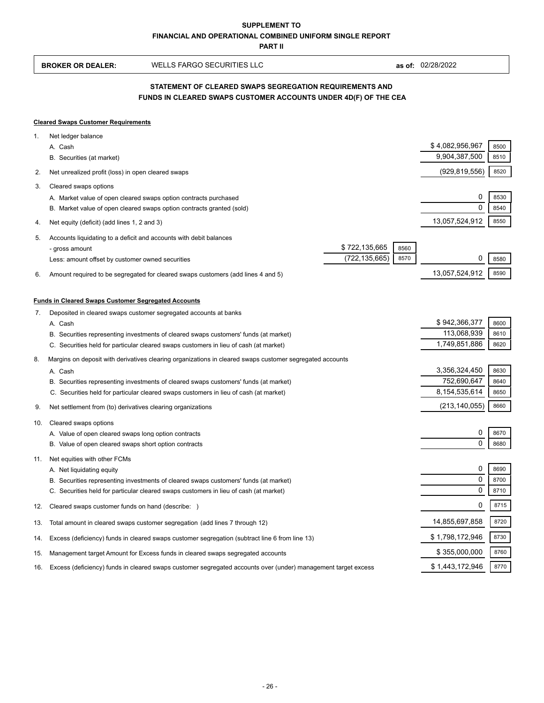**PART II**

 **BROKER OR DEALER:** WELLS FARGO SECURITIES LLC **as of:** 02/28/2022

|           | STATEMENT OF CLEARED SWAPS SEGREGATION REQUIREMENTS AND<br>FUNDS IN CLEARED SWAPS CUSTOMER ACCOUNTS UNDER 4D(F) OF THE CEA                                                                                                                                                                           |                                               |                      |  |  |  |  |
|-----------|------------------------------------------------------------------------------------------------------------------------------------------------------------------------------------------------------------------------------------------------------------------------------------------------------|-----------------------------------------------|----------------------|--|--|--|--|
|           | <b>Cleared Swaps Customer Requirements</b>                                                                                                                                                                                                                                                           |                                               |                      |  |  |  |  |
| 1.        | Net ledger balance<br>A. Cash<br>B. Securities (at market)                                                                                                                                                                                                                                           | \$4,082,956,967<br>9,904,387,500              | 8500<br>8510         |  |  |  |  |
| 2.        | Net unrealized profit (loss) in open cleared swaps                                                                                                                                                                                                                                                   | (929, 819, 556)                               | 8520                 |  |  |  |  |
| 3.        | Cleared swaps options<br>A. Market value of open cleared swaps option contracts purchased<br>B. Market value of open cleared swaps option contracts granted (sold)                                                                                                                                   | 0<br>$\Omega$                                 | 8530<br>8540         |  |  |  |  |
| 4.        | Net equity (deficit) (add lines 1, 2 and 3)                                                                                                                                                                                                                                                          | 13,057,524,912                                | 8550                 |  |  |  |  |
| 5.<br>6.  | Accounts liquidating to a deficit and accounts with debit balances<br>\$722,135,665<br>8560<br>- gross amount<br>(722, 135, 665)<br>8570<br>Less: amount offset by customer owned securities<br>Amount required to be segregated for cleared swaps customers (add lines 4 and 5)                     | 0<br>13,057,524,912                           | 8580<br>8590         |  |  |  |  |
|           | <b>Funds in Cleared Swaps Customer Segregated Accounts</b>                                                                                                                                                                                                                                           |                                               |                      |  |  |  |  |
| 7.        | Deposited in cleared swaps customer segregated accounts at banks<br>A. Cash<br>B. Securities representing investments of cleared swaps customers' funds (at market)<br>C. Securities held for particular cleared swaps customers in lieu of cash (at market)                                         | \$942,366,377<br>113,068,939<br>1,749,851,886 | 8600<br>8610<br>8620 |  |  |  |  |
| 8.        | Margins on deposit with derivatives clearing organizations in cleared swaps customer segregated accounts<br>A. Cash<br>B. Securities representing investments of cleared swaps customers' funds (at market)<br>C. Securities held for particular cleared swaps customers in lieu of cash (at market) | 3,356,324,450<br>752,690,647<br>8,154,535,614 | 8630<br>8640<br>8650 |  |  |  |  |
| 9.<br>10. | Net settlement from (to) derivatives clearing organizations<br>Cleared swaps options                                                                                                                                                                                                                 | (213, 140, 055)                               | 8660                 |  |  |  |  |
|           | A. Value of open cleared swaps long option contracts<br>B. Value of open cleared swaps short option contracts                                                                                                                                                                                        | 0<br>$\mathbf 0$                              | 8670<br>8680         |  |  |  |  |
| 11.       | Net equities with other FCMs<br>A. Net liquidating equity<br>B. Securities representing investments of cleared swaps customers' funds (at market)<br>C. Securities held for particular cleared swaps customers in lieu of cash (at market)                                                           | 0<br>0<br>0                                   | 8690<br>8700<br>8710 |  |  |  |  |
| 12.       | Cleared swaps customer funds on hand (describe: )                                                                                                                                                                                                                                                    | 0                                             | 8715                 |  |  |  |  |
| 13.       | Total amount in cleared swaps customer segregation (add lines 7 through 12)                                                                                                                                                                                                                          | 14,855,697,858                                | 8720                 |  |  |  |  |
| 14.       | Excess (deficiency) funds in cleared swaps customer segregation (subtract line 6 from line 13)                                                                                                                                                                                                       | \$1,798,172,946                               | 8730                 |  |  |  |  |
| 15.       | Management target Amount for Excess funds in cleared swaps segregated accounts                                                                                                                                                                                                                       | \$355,000,000                                 | 8760                 |  |  |  |  |
| 16.       | Excess (deficiency) funds in cleared swaps customer segregated accounts over (under) management target excess                                                                                                                                                                                        | \$1,443,172,946                               | 8770                 |  |  |  |  |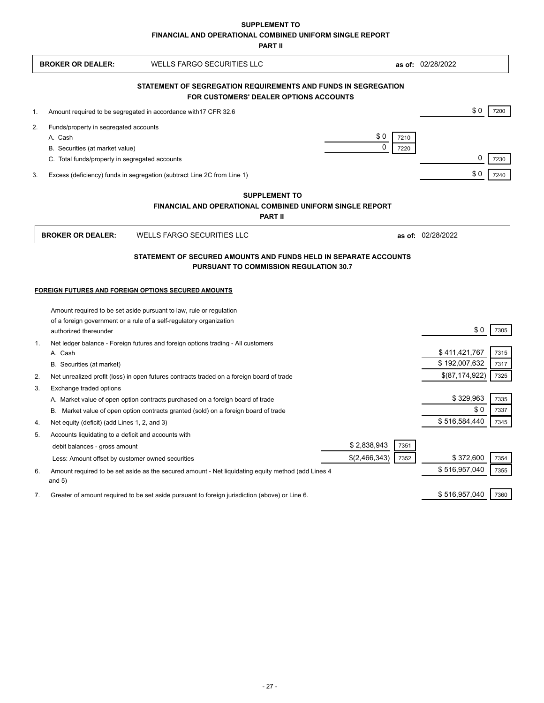**SUPPLEMENT TO**

**FINANCIAL AND OPERATIONAL COMBINED UNIFORM SINGLE REPORT**

**PART II**

|                                                                | <b>BROKER OR DEALER:</b>                                            | <b>WELLS FARGO SECURITIES LLC</b>                                                                  |               |      | as of: 02/28/2022              |              |  |
|----------------------------------------------------------------|---------------------------------------------------------------------|----------------------------------------------------------------------------------------------------|---------------|------|--------------------------------|--------------|--|
| STATEMENT OF SEGREGATION REQUIREMENTS AND FUNDS IN SEGREGATION |                                                                     |                                                                                                    |               |      |                                |              |  |
| FOR CUSTOMERS' DEALER OPTIONS ACCOUNTS                         |                                                                     |                                                                                                    |               |      |                                |              |  |
| 1.                                                             | Amount required to be segregated in accordance with 17 CFR 32.6     |                                                                                                    |               |      | \$0                            | 7200         |  |
| 2.                                                             | Funds/property in segregated accounts                               |                                                                                                    |               |      |                                |              |  |
|                                                                | A. Cash                                                             |                                                                                                    | \$0           | 7210 |                                |              |  |
|                                                                | B. Securities (at market value)                                     |                                                                                                    | $\Omega$      | 7220 |                                |              |  |
|                                                                | C. Total funds/property in segregated accounts                      |                                                                                                    |               |      | $\mathbf 0$                    | 7230         |  |
| 3.                                                             |                                                                     | Excess (deficiency) funds in segregation (subtract Line 2C from Line 1)                            |               |      | \$0                            | 7240         |  |
|                                                                |                                                                     | <b>SUPPLEMENT TO</b>                                                                               |               |      |                                |              |  |
|                                                                |                                                                     | <b>FINANCIAL AND OPERATIONAL COMBINED UNIFORM SINGLE REPORT</b>                                    |               |      |                                |              |  |
|                                                                |                                                                     | <b>PART II</b>                                                                                     |               |      |                                |              |  |
|                                                                | <b>BROKER OR DEALER:</b>                                            | <b>WELLS FARGO SECURITIES LLC</b>                                                                  |               |      | as of: 02/28/2022              |              |  |
|                                                                |                                                                     | STATEMENT OF SECURED AMOUNTS AND FUNDS HELD IN SEPARATE ACCOUNTS                                   |               |      |                                |              |  |
|                                                                |                                                                     | PURSUANT TO COMMISSION REGULATION 30.7                                                             |               |      |                                |              |  |
|                                                                |                                                                     |                                                                                                    |               |      |                                |              |  |
| FOREIGN FUTURES AND FOREIGN OPTIONS SECURED AMOUNTS            |                                                                     |                                                                                                    |               |      |                                |              |  |
|                                                                |                                                                     | Amount required to be set aside pursuant to law, rule or regulation                                |               |      |                                |              |  |
|                                                                | of a foreign government or a rule of a self-regulatory organization |                                                                                                    |               |      |                                |              |  |
|                                                                | authorized thereunder                                               |                                                                                                    |               |      | \$0                            | 7305         |  |
|                                                                | $\mathbf{1}$ .                                                      | Net ledger balance - Foreign futures and foreign options trading - All customers                   |               |      |                                |              |  |
|                                                                | A. Cash                                                             |                                                                                                    |               |      | \$411,421,767<br>\$192,007,632 | 7315         |  |
|                                                                | B. Securities (at market)                                           |                                                                                                    |               |      | \$(87,174,922)                 | 7317<br>7325 |  |
| 2.                                                             |                                                                     | Net unrealized profit (loss) in open futures contracts traded on a foreign board of trade          |               |      |                                |              |  |
| 3.                                                             | Exchange traded options                                             | A. Market value of open option contracts purchased on a foreign board of trade                     |               |      | \$329,963                      | 7335         |  |
|                                                                |                                                                     | B. Market value of open option contracts granted (sold) on a foreign board of trade                |               |      | \$0                            | 7337         |  |
| 4.                                                             | Net equity (deficit) (add Lines 1, 2, and 3)                        |                                                                                                    |               |      | \$516,584,440                  | 7345         |  |
| 5.                                                             | Accounts liquidating to a deficit and accounts with                 |                                                                                                    |               |      |                                |              |  |
|                                                                | debit balances - gross amount                                       |                                                                                                    | \$2,838,943   | 7351 |                                |              |  |
|                                                                | Less: Amount offset by customer owned securities                    |                                                                                                    | \$(2,466,343) | 7352 | \$372,600                      | 7354         |  |
| 6.                                                             |                                                                     | Amount required to be set aside as the secured amount - Net liquidating equity method (add Lines 4 |               |      | \$516,957,040                  | 7355         |  |
|                                                                | and $5)$                                                            |                                                                                                    |               |      |                                |              |  |
|                                                                | 7.                                                                  | Greater of amount required to be set aside pursuant to foreign jurisdiction (above) or Line 6.     |               |      | \$516,957,040                  | 7360         |  |
|                                                                |                                                                     |                                                                                                    |               |      |                                |              |  |